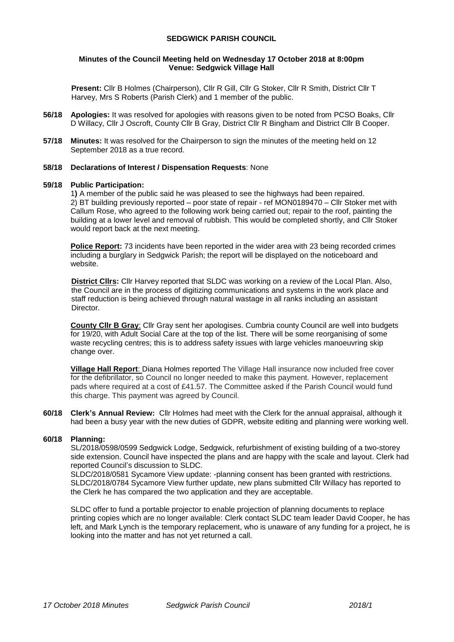### **SEDGWICK PARISH COUNCIL**

### **Minutes of the Council Meeting held on Wednesday 17 October 2018 at 8:00pm Venue: Sedgwick Village Hall**

**Present:** Cllr B Holmes (Chairperson), Cllr R Gill, Cllr G Stoker, Cllr R Smith, District Cllr T Harvey, Mrs S Roberts (Parish Clerk) and 1 member of the public.

- **56/18 Apologies:** It was resolved for apologies with reasons given to be noted from PCSO Boaks, Cllr D Willacy, Cllr J Oscroft, County Cllr B Gray, District Cllr R Bingham and District Cllr B Cooper.
- **57/18 Minutes:** It was resolved for the Chairperson to sign the minutes of the meeting held on 12 September 2018 as a true record.

### **58/18 Declarations of Interest / Dispensation Requests**: None

### **59/18 Public Participation:**

1**)** A member of the public said he was pleased to see the highways had been repaired. 2) BT building previously reported – poor state of repair - ref MON0189470 – Cllr Stoker met with Callum Rose, who agreed to the following work being carried out; repair to the roof, painting the building at a lower level and removal of rubbish. This would be completed shortly, and Cllr Stoker would report back at the next meeting.

**Police Report:** 73 incidents have been reported in the wider area with 23 being recorded crimes including a burglary in Sedgwick Parish; the report will be displayed on the noticeboard and website.

**District Cllrs:** Cllr Harvey reported that SLDC was working on a review of the Local Plan. Also, the Council are in the process of digitizing communications and systems in the work place and staff reduction is being achieved through natural wastage in all ranks including an assistant Director.

**County Cllr B Gray**: Cllr Gray sent her apologises. Cumbria county Council are well into budgets for 19/20, with Adult Social Care at the top of the list. There will be some reorganising of some waste recycling centres; this is to address safety issues with large vehicles manoeuvring skip change over.

**Village Hall Report**: Diana Holmes reported The Village Hall insurance now included free cover for the defibrillator, so Council no longer needed to make this payment. However, replacement pads where required at a cost of £41.57. The Committee asked if the Parish Council would fund this charge. This payment was agreed by Council.

**60/18 Clerk's Annual Review:** Cllr Holmes had meet with the Clerk for the annual appraisal, although it had been a busy year with the new duties of GDPR, website editing and planning were working well.

### **60/18 Planning:**

 SL/2018/0598/0599 Sedgwick Lodge, Sedgwick, refurbishment of existing building of a two-storey side extension. Council have inspected the plans and are happy with the scale and layout. Clerk had reported Council's discussion to SLDC.

SLDC/2018/0581 Sycamore View update: -planning consent has been granted with restrictions. SLDC/2018/0784 Sycamore View further update, new plans submitted Cllr Willacy has reported to the Clerk he has compared the two application and they are acceptable.

SLDC offer to fund a portable projector to enable projection of planning documents to replace printing copies which are no longer available: Clerk contact SLDC team leader David Cooper, he has left, and Mark Lynch is the temporary replacement, who is unaware of any funding for a project, he is looking into the matter and has not yet returned a call.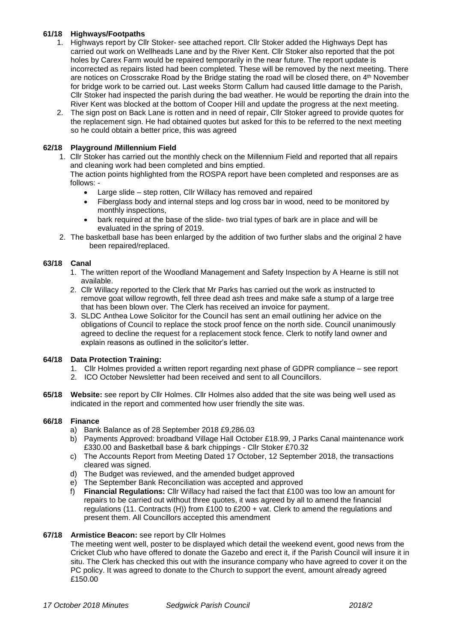# **61/18 Highways/Footpaths**

- 1. Highways report by Cllr Stoker- see attached report. Cllr Stoker added the Highways Dept has carried out work on Wellheads Lane and by the River Kent. Cllr Stoker also reported that the pot holes by Carex Farm would be repaired temporarily in the near future. The report update is incorrected as repairs listed had been completed. These will be removed by the next meeting. There are notices on Crosscrake Road by the Bridge stating the road will be closed there, on 4<sup>th</sup> November for bridge work to be carried out. Last weeks Storm Callum had caused little damage to the Parish, Cllr Stoker had inspected the parish during the bad weather. He would be reporting the drain into the River Kent was blocked at the bottom of Cooper Hill and update the progress at the next meeting.
- 2. The sign post on Back Lane is rotten and in need of repair, Cllr Stoker agreed to provide quotes for the replacement sign. He had obtained quotes but asked for this to be referred to the next meeting so he could obtain a better price, this was agreed

# **62/18 Playground /Millennium Field**

1. Cllr Stoker has carried out the monthly check on the Millennium Field and reported that all repairs and cleaning work had been completed and bins emptied.

The action points highlighted from the ROSPA report have been completed and responses are as follows: -

- Large slide step rotten, Cllr Willacy has removed and repaired
- Fiberglass body and internal steps and log cross bar in wood, need to be monitored by monthly inspections,
- bark required at the base of the slide- two trial types of bark are in place and will be evaluated in the spring of 2019.
- 2. The basketball base has been enlarged by the addition of two further slabs and the original 2 have been repaired/replaced.

## **63/18 Canal**

- 1. The written report of the Woodland Management and Safety Inspection by A Hearne is still not available.
- 2. Cllr Willacy reported to the Clerk that Mr Parks has carried out the work as instructed to remove goat willow regrowth, fell three dead ash trees and make safe a stump of a large tree that has been blown over. The Clerk has received an invoice for payment.
- 3. SLDC Anthea Lowe Solicitor for the Council has sent an email outlining her advice on the obligations of Council to replace the stock proof fence on the north side. Council unanimously agreed to decline the request for a replacement stock fence. Clerk to notify land owner and explain reasons as outlined in the solicitor's letter.

## **64/18 Data Protection Training:**

- 1. Cllr Holmes provided a written report regarding next phase of GDPR compliance see report
- 2. ICO October Newsletter had been received and sent to all Councillors.
- **65/18 Website:** see report by Cllr Holmes. Cllr Holmes also added that the site was being well used as indicated in the report and commented how user friendly the site was.

# **66/18 Finance**

- a) Bank Balance as of 28 September 2018 £9,286.03
- b) Payments Approved: broadband Village Hall October £18.99, J Parks Canal maintenance work £330.00 and Basketball base & bark chippings - Cllr Stoker £70.32
- c) The Accounts Report from Meeting Dated 17 October, 12 September 2018, the transactions cleared was signed.
- d) The Budget was reviewed, and the amended budget approved
- e) The September Bank Reconciliation was accepted and approved
- f) **Financial Regulations:** Cllr Willacy had raised the fact that £100 was too low an amount for repairs to be carried out without three quotes, it was agreed by all to amend the financial regulations (11. Contracts (H)) from £100 to £200 + vat. Clerk to amend the regulations and present them. All Councillors accepted this amendment

### **67/18 Armistice Beacon:** see report by Cllr Holmes

The meeting went well, poster to be displayed which detail the weekend event, good news from the Cricket Club who have offered to donate the Gazebo and erect it, if the Parish Council will insure it in situ. The Clerk has checked this out with the insurance company who have agreed to cover it on the PC policy. It was agreed to donate to the Church to support the event, amount already agreed £150.00